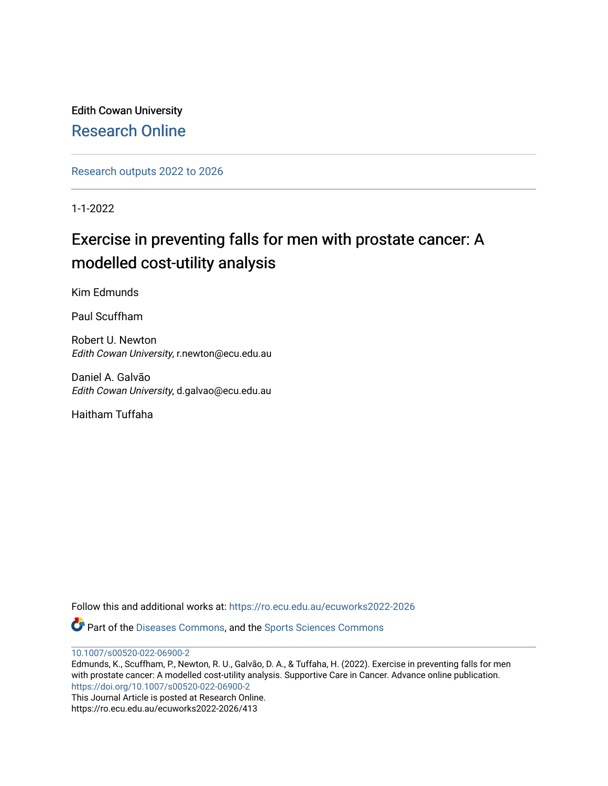Edith Cowan University [Research Online](https://ro.ecu.edu.au/) 

[Research outputs 2022 to 2026](https://ro.ecu.edu.au/ecuworks2022-2026) 

1-1-2022

# Exercise in preventing falls for men with prostate cancer: A modelled cost-utility analysis

Kim Edmunds

Paul Scuffham

Robert U. Newton Edith Cowan University, r.newton@ecu.edu.au

Daniel A. Galvão Edith Cowan University, d.galvao@ecu.edu.au

Haitham Tuffaha

Follow this and additional works at: [https://ro.ecu.edu.au/ecuworks2022-2026](https://ro.ecu.edu.au/ecuworks2022-2026?utm_source=ro.ecu.edu.au%2Fecuworks2022-2026%2F413&utm_medium=PDF&utm_campaign=PDFCoverPages)

Part of the [Diseases Commons](http://network.bepress.com/hgg/discipline/813?utm_source=ro.ecu.edu.au%2Fecuworks2022-2026%2F413&utm_medium=PDF&utm_campaign=PDFCoverPages), and the [Sports Sciences Commons](http://network.bepress.com/hgg/discipline/759?utm_source=ro.ecu.edu.au%2Fecuworks2022-2026%2F413&utm_medium=PDF&utm_campaign=PDFCoverPages) 

[10.1007/s00520-022-06900-2](http://dx.doi.org/10.1007/s00520-022-06900-2)

Edmunds, K., Scuffham, P., Newton, R. U., Galvão, D. A., & Tuffaha, H. (2022). Exercise in preventing falls for men with prostate cancer: A modelled cost-utility analysis. Supportive Care in Cancer. Advance online publication. <https://doi.org/10.1007/s00520-022-06900-2>

This Journal Article is posted at Research Online. https://ro.ecu.edu.au/ecuworks2022-2026/413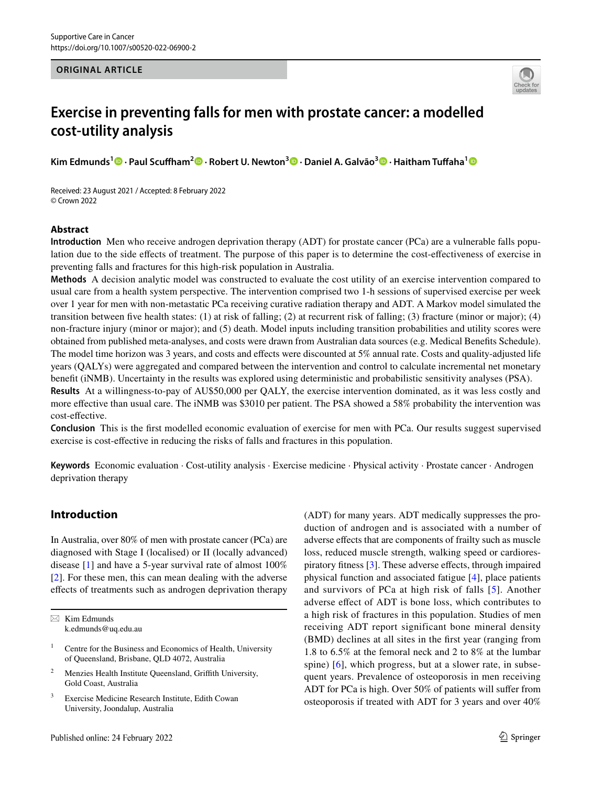## **ORIGINAL ARTICLE**



# **Exercise in preventing falls for men with prostate cancer: a modelled cost‑utility analysis**

**Kim Edmunds1 · Paul Scufham2 · Robert U. Newton<sup>3</sup>  [·](http://orcid.org/0000-0003-0302-6129) Daniel A. Galvão3  [·](http://orcid.org/0000-0002-8209-2281) Haitham Tufaha[1](http://orcid.org/0000-0003-2993-3480)**

Received: 23 August 2021 / Accepted: 8 February 2022 © Crown 2022

## **Abstract**

**Introduction** Men who receive androgen deprivation therapy (ADT) for prostate cancer (PCa) are a vulnerable falls population due to the side efects of treatment. The purpose of this paper is to determine the cost-efectiveness of exercise in preventing falls and fractures for this high-risk population in Australia.

**Methods** A decision analytic model was constructed to evaluate the cost utility of an exercise intervention compared to usual care from a health system perspective. The intervention comprised two 1-h sessions of supervised exercise per week over 1 year for men with non-metastatic PCa receiving curative radiation therapy and ADT. A Markov model simulated the transition between fve health states: (1) at risk of falling; (2) at recurrent risk of falling; (3) fracture (minor or major); (4) non-fracture injury (minor or major); and (5) death. Model inputs including transition probabilities and utility scores were obtained from published meta-analyses, and costs were drawn from Australian data sources (e.g. Medical Benefts Schedule). The model time horizon was 3 years, and costs and efects were discounted at 5% annual rate. Costs and quality-adjusted life years (QALYs) were aggregated and compared between the intervention and control to calculate incremental net monetary beneft (iNMB). Uncertainty in the results was explored using deterministic and probabilistic sensitivity analyses (PSA). **Results** At a willingness-to-pay of AU\$50,000 per QALY, the exercise intervention dominated, as it was less costly and

more efective than usual care. The iNMB was \$3010 per patient. The PSA showed a 58% probability the intervention was cost-efective.

**Conclusion** This is the frst modelled economic evaluation of exercise for men with PCa. Our results suggest supervised exercise is cost-efective in reducing the risks of falls and fractures in this population.

**Keywords** Economic evaluation · Cost-utility analysis · Exercise medicine · Physical activity · Prostate cancer · Androgen deprivation therapy

# **Introduction**

In Australia, over 80% of men with prostate cancer (PCa) are diagnosed with Stage I (localised) or II (locally advanced) disease [\[1\]](#page-8-0) and have a 5-year survival rate of almost 100% [\[2](#page-8-1)]. For these men, this can mean dealing with the adverse efects of treatments such as androgen deprivation therapy

 $\boxtimes$  Kim Edmunds k.edmunds@uq.edu.au

- <sup>2</sup> Menzies Health Institute Queensland, Grifth University, Gold Coast, Australia
- <sup>3</sup> Exercise Medicine Research Institute, Edith Cowan University, Joondalup, Australia

(ADT) for many years. ADT medically suppresses the production of androgen and is associated with a number of adverse efects that are components of frailty such as muscle loss, reduced muscle strength, walking speed or cardiorespiratory fitness  $[3]$  $[3]$ . These adverse effects, through impaired physical function and associated fatigue [[4\]](#page-8-3), place patients and survivors of PCa at high risk of falls [[5\]](#page-8-4). Another adverse efect of ADT is bone loss, which contributes to a high risk of fractures in this population. Studies of men receiving ADT report significant bone mineral density (BMD) declines at all sites in the frst year (ranging from 1.8 to 6.5% at the femoral neck and 2 to 8% at the lumbar spine) [[6](#page-8-5)], which progress, but at a slower rate, in subsequent years. Prevalence of osteoporosis in men receiving ADT for PCa is high. Over 50% of patients will sufer from osteoporosis if treated with ADT for 3 years and over 40%

<sup>&</sup>lt;sup>1</sup> Centre for the Business and Economics of Health, University of Queensland, Brisbane, QLD 4072, Australia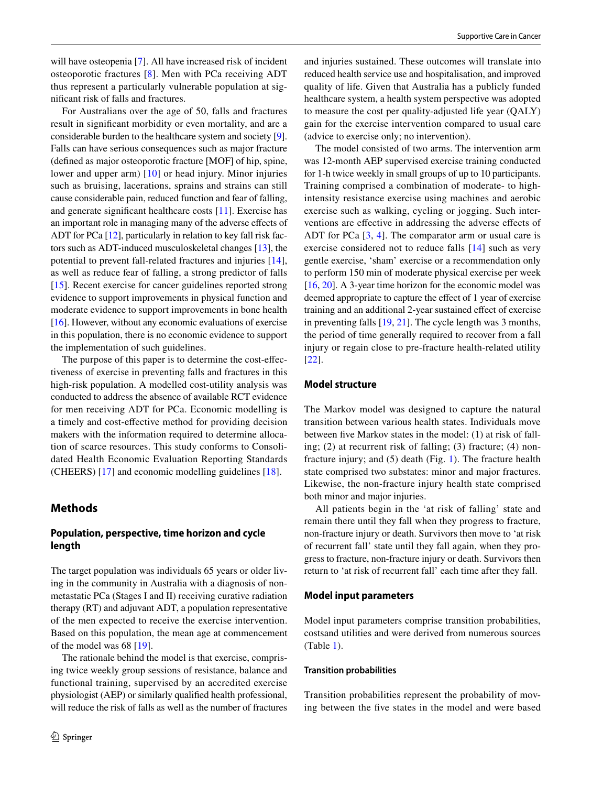will have osteopenia [[7\]](#page-8-6). All have increased risk of incident osteoporotic fractures [\[8](#page-9-0)]. Men with PCa receiving ADT thus represent a particularly vulnerable population at signifcant risk of falls and fractures.

For Australians over the age of 50, falls and fractures result in signifcant morbidity or even mortality, and are a considerable burden to the healthcare system and society [\[9](#page-9-1)]. Falls can have serious consequences such as major fracture (defned as major osteoporotic fracture [MOF] of hip, spine, lower and upper arm) [[10](#page-9-2)] or head injury. Minor injuries such as bruising, lacerations, sprains and strains can still cause considerable pain, reduced function and fear of falling, and generate signifcant healthcare costs [[11](#page-9-3)]. Exercise has an important role in managing many of the adverse efects of ADT for PCa [[12\]](#page-9-4), particularly in relation to key fall risk factors such as ADT-induced musculoskeletal changes [\[13](#page-9-5)], the potential to prevent fall-related fractures and injuries [[14](#page-9-6)], as well as reduce fear of falling, a strong predictor of falls [\[15\]](#page-9-7). Recent exercise for cancer guidelines reported strong evidence to support improvements in physical function and moderate evidence to support improvements in bone health [\[16](#page-9-8)]. However, without any economic evaluations of exercise in this population, there is no economic evidence to support the implementation of such guidelines.

The purpose of this paper is to determine the cost-efectiveness of exercise in preventing falls and fractures in this high-risk population. A modelled cost-utility analysis was conducted to address the absence of available RCT evidence for men receiving ADT for PCa. Economic modelling is a timely and cost-efective method for providing decision makers with the information required to determine allocation of scarce resources. This study conforms to Consolidated Health Economic Evaluation Reporting Standards (CHEERS) [\[17](#page-9-9)] and economic modelling guidelines [[18\]](#page-9-10).

## **Methods**

## **Population, perspective, time horizon and cycle length**

The target population was individuals 65 years or older living in the community in Australia with a diagnosis of nonmetastatic PCa (Stages I and II) receiving curative radiation therapy (RT) and adjuvant ADT, a population representative of the men expected to receive the exercise intervention. Based on this population, the mean age at commencement of the model was 68 [\[19](#page-9-11)].

The rationale behind the model is that exercise, comprising twice weekly group sessions of resistance, balance and functional training, supervised by an accredited exercise physiologist (AEP) or similarly qualifed health professional, will reduce the risk of falls as well as the number of fractures

and injuries sustained. These outcomes will translate into reduced health service use and hospitalisation, and improved quality of life. Given that Australia has a publicly funded healthcare system, a health system perspective was adopted to measure the cost per quality-adjusted life year (QALY) gain for the exercise intervention compared to usual care (advice to exercise only; no intervention).

The model consisted of two arms. The intervention arm was 12-month AEP supervised exercise training conducted for 1-h twice weekly in small groups of up to 10 participants. Training comprised a combination of moderate- to highintensity resistance exercise using machines and aerobic exercise such as walking, cycling or jogging. Such interventions are efective in addressing the adverse efects of ADT for PCa [\[3](#page-8-2), [4](#page-8-3)]. The comparator arm or usual care is exercise considered not to reduce falls [[14](#page-9-6)] such as very gentle exercise, 'sham' exercise or a recommendation only to perform 150 min of moderate physical exercise per week [\[16](#page-9-8), [20](#page-9-12)]. A 3-year time horizon for the economic model was deemed appropriate to capture the efect of 1 year of exercise training and an additional 2-year sustained efect of exercise in preventing falls [\[19](#page-9-11), [21](#page-9-13)]. The cycle length was 3 months, the period of time generally required to recover from a fall injury or regain close to pre-fracture health-related utility [[22\]](#page-9-14).

## **Model structure**

The Markov model was designed to capture the natural transition between various health states. Individuals move between five Markov states in the model: (1) at risk of falling; (2) at recurrent risk of falling; (3) fracture; (4) nonfracture injury; and (5) death (Fig. [1\)](#page-3-0). The fracture health state comprised two substates: minor and major fractures. Likewise, the non-fracture injury health state comprised both minor and major injuries.

All patients begin in the 'at risk of falling' state and remain there until they fall when they progress to fracture, non-fracture injury or death. Survivors then move to 'at risk of recurrent fall' state until they fall again, when they progress to fracture, non-fracture injury or death. Survivors then return to 'at risk of recurrent fall' each time after they fall.

#### **Model input parameters**

Model input parameters comprise transition probabilities, costsand utilities and were derived from numerous sources (Table [1\)](#page-3-1).

#### **Transition probabilities**

Transition probabilities represent the probability of moving between the fve states in the model and were based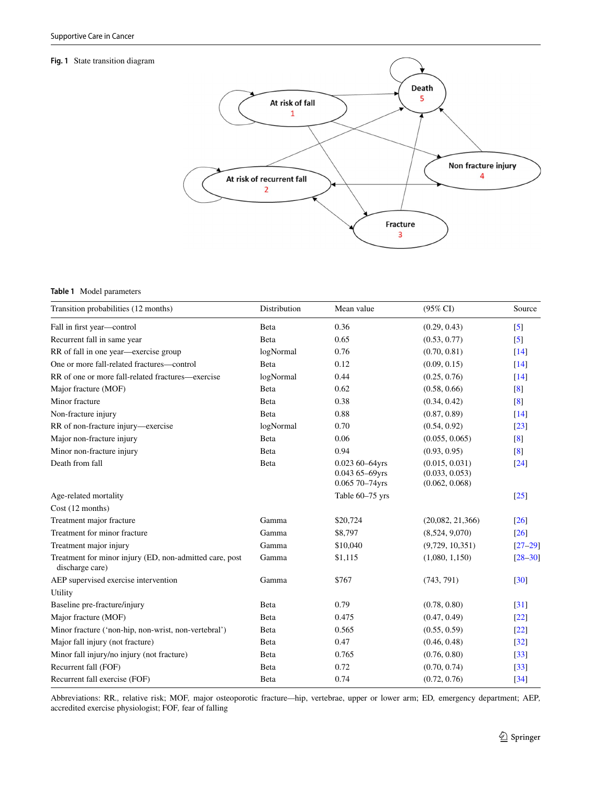#### <span id="page-3-0"></span>**Fig. 1** State transition diagram



## <span id="page-3-1"></span>**Table 1** Model parameters

| Transition probabilities (12 months)                                       | Distribution | Mean value                                                 | $(95\% \text{ CI})$                                | Source             |
|----------------------------------------------------------------------------|--------------|------------------------------------------------------------|----------------------------------------------------|--------------------|
| Fall in first year-control                                                 | Beta         | 0.36                                                       | (0.29, 0.43)                                       | $\lceil 5 \rceil$  |
| Recurrent fall in same year                                                | Beta         | 0.65                                                       | (0.53, 0.77)                                       | $\left[5\right]$   |
| RR of fall in one year—exercise group                                      | logNormal    | 0.76                                                       | (0.70, 0.81)                                       | $\lceil 14 \rceil$ |
| One or more fall-related fractures—control                                 | Beta         | 0.12                                                       | (0.09, 0.15)                                       | $\lceil 14 \rceil$ |
| RR of one or more fall-related fractures—exercise                          | logNormal    | 0.44                                                       | (0.25, 0.76)                                       | $\lceil 14 \rceil$ |
| Major fracture (MOF)                                                       | Beta         | 0.62                                                       | (0.58, 0.66)                                       | $\lceil 8 \rceil$  |
| Minor fracture                                                             | Beta         | 0.38                                                       | (0.34, 0.42)                                       | [8]                |
| Non-fracture injury                                                        | Beta         | 0.88                                                       | (0.87, 0.89)                                       | $[14]$             |
| RR of non-fracture injury-exercise                                         | logNormal    | 0.70                                                       | (0.54, 0.92)                                       | $[23]$             |
| Major non-fracture injury                                                  | Beta         | 0.06                                                       | (0.055, 0.065)                                     | [8]                |
| Minor non-fracture injury                                                  | Beta         | 0.94                                                       | (0.93, 0.95)                                       | [8]                |
| Death from fall                                                            | Beta         | $0.02360 - 64$ yrs<br>$0.04365 - 69$ yrs<br>0.065 70-74yrs | (0.015, 0.031)<br>(0.033, 0.053)<br>(0.062, 0.068) | $[24]$             |
| Age-related mortality                                                      |              | Table 60-75 yrs                                            |                                                    | $[25]$             |
| Cost (12 months)                                                           |              |                                                            |                                                    |                    |
| Treatment major fracture                                                   | Gamma        | \$20,724                                                   | (20,082, 21,366)                                   | $\lceil 26 \rceil$ |
| Treatment for minor fracture                                               | Gamma        | \$8,797                                                    | (8,524, 9,070)                                     | $\lceil 26 \rceil$ |
| Treatment major injury                                                     | Gamma        | \$10,040                                                   | (9,729, 10,351)                                    | $[27-29]$          |
| Treatment for minor injury (ED, non-admitted care, post<br>discharge care) | Gamma        | \$1,115                                                    | (1,080, 1,150)                                     | $[28 - 30]$        |
| AEP supervised exercise intervention                                       | Gamma        | \$767                                                      | (743, 791)                                         | $\lceil 30 \rceil$ |
| Utility                                                                    |              |                                                            |                                                    |                    |
| Baseline pre-fracture/injury                                               | Beta         | 0.79                                                       | (0.78, 0.80)                                       | $\left 31\right $  |
| Major fracture (MOF)                                                       | Beta         | 0.475                                                      | (0.47, 0.49)                                       | $\left[22\right]$  |
| Minor fracture ('non-hip, non-wrist, non-vertebral')                       | Beta         | 0.565                                                      | (0.55, 0.59)                                       | $[22]$             |
| Major fall injury (not fracture)                                           | Beta         | 0.47                                                       | (0.46, 0.48)                                       | $\left[32\right]$  |
| Minor fall injury/no injury (not fracture)                                 | Beta         | 0.765                                                      | (0.76, 0.80)                                       | $[33]$             |
| Recurrent fall (FOF)                                                       | Beta         | 0.72                                                       | (0.70, 0.74)                                       | $\left[33\right]$  |
| Recurrent fall exercise (FOF)                                              | Beta         | 0.74                                                       | (0.72, 0.76)                                       | $\left[34\right]$  |

Abbreviations: RR*.,* relative risk; MOF*,* major osteoporotic fracture*—*hip, vertebrae, upper or lower arm; ED*,* emergency department; AEP*,* accredited exercise physiologist; FOF*,* fear of falling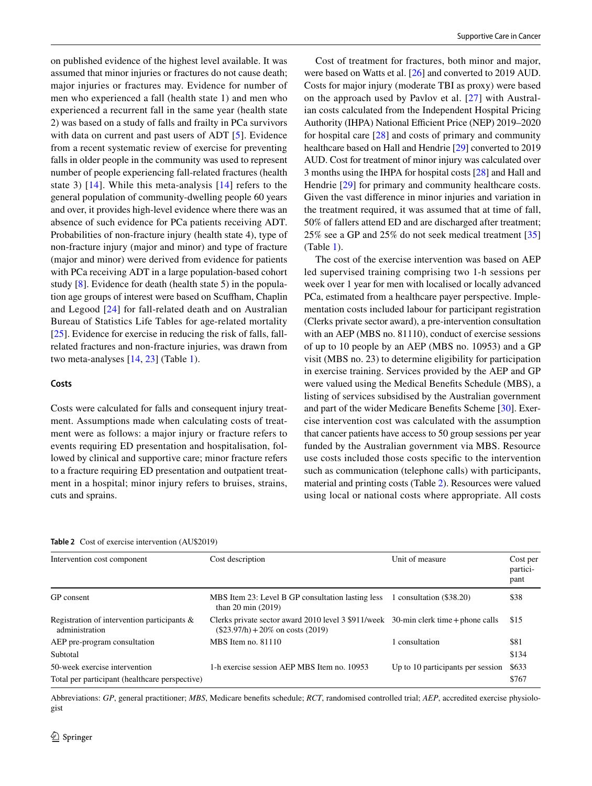on published evidence of the highest level available. It was assumed that minor injuries or fractures do not cause death; major injuries or fractures may. Evidence for number of men who experienced a fall (health state 1) and men who experienced a recurrent fall in the same year (health state 2) was based on a study of falls and frailty in PCa survivors with data on current and past users of ADT [[5](#page-8-4)]. Evidence from a recent systematic review of exercise for preventing falls in older people in the community was used to represent number of people experiencing fall-related fractures (health state 3) [\[14\]](#page-9-6). While this meta-analysis [[14](#page-9-6)] refers to the general population of community-dwelling people 60 years and over, it provides high-level evidence where there was an absence of such evidence for PCa patients receiving ADT. Probabilities of non-fracture injury (health state 4), type of non-fracture injury (major and minor) and type of fracture (major and minor) were derived from evidence for patients with PCa receiving ADT in a large population-based cohort study [[8\]](#page-9-0). Evidence for death (health state 5) in the population age groups of interest were based on Scufham, Chaplin and Legood [[24\]](#page-9-16) for fall-related death and on Australian Bureau of Statistics Life Tables for age-related mortality [\[25](#page-9-17)]. Evidence for exercise in reducing the risk of falls, fallrelated fractures and non-fracture injuries, was drawn from two meta-analyses [\[14](#page-9-6), [23](#page-9-15)] (Table [1\)](#page-3-1).

### **Costs**

Costs were calculated for falls and consequent injury treatment. Assumptions made when calculating costs of treatment were as follows: a major injury or fracture refers to events requiring ED presentation and hospitalisation, followed by clinical and supportive care; minor fracture refers to a fracture requiring ED presentation and outpatient treatment in a hospital; minor injury refers to bruises, strains, cuts and sprains.

Cost of treatment for fractures, both minor and major, were based on Watts et al. [[26\]](#page-9-18) and converted to 2019 AUD. Costs for major injury (moderate TBI as proxy) were based on the approach used by Pavlov et al. [[27\]](#page-9-19) with Australian costs calculated from the Independent Hospital Pricing Authority (IHPA) National Efficient Price (NEP) 2019–2020 for hospital care [\[28](#page-9-21)] and costs of primary and community healthcare based on Hall and Hendrie [[29](#page-9-20)] converted to 2019 AUD. Cost for treatment of minor injury was calculated over 3 months using the IHPA for hospital costs [\[28\]](#page-9-21) and Hall and Hendrie [\[29](#page-9-20)] for primary and community healthcare costs. Given the vast diference in minor injuries and variation in the treatment required, it was assumed that at time of fall, 50% of fallers attend ED and are discharged after treatment; 25% see a GP and 25% do not seek medical treatment [[35\]](#page-9-27) (Table [1\)](#page-3-1).

The cost of the exercise intervention was based on AEP led supervised training comprising two 1-h sessions per week over 1 year for men with localised or locally advanced PCa, estimated from a healthcare payer perspective. Implementation costs included labour for participant registration (Clerks private sector award), a pre-intervention consultation with an AEP (MBS no. 81110), conduct of exercise sessions of up to 10 people by an AEP (MBS no. 10953) and a GP visit (MBS no. 23) to determine eligibility for participation in exercise training. Services provided by the AEP and GP were valued using the Medical Benefts Schedule (MBS), a listing of services subsidised by the Australian government and part of the wider Medicare Benefts Scheme [\[30](#page-9-22)]. Exercise intervention cost was calculated with the assumption that cancer patients have access to 50 group sessions per year funded by the Australian government via MBS. Resource use costs included those costs specifc to the intervention such as communication (telephone calls) with participants, material and printing costs (Table [2\)](#page-4-0). Resources were valued using local or national costs where appropriate. All costs

<span id="page-4-0"></span>

|  | <b>Table 2</b> Cost of exercise intervention (AU\$2019) |  |  |
|--|---------------------------------------------------------|--|--|
|--|---------------------------------------------------------|--|--|

| Intervention cost component                                      | Cost description                                                                                                                       | Unit of measure                   | Cost per<br>partici-<br>pant |
|------------------------------------------------------------------|----------------------------------------------------------------------------------------------------------------------------------------|-----------------------------------|------------------------------|
| GP consent                                                       | MBS Item 23: Level B GP consultation lasting less<br>than $20 \text{ min} (2019)$                                                      | 1 consultation (\$38.20)          | \$38                         |
| Registration of intervention participants $\&$<br>administration | Clerks private sector award 2010 level $3\frac{1}{2}$ (911/week 30-min clerk time + phone calls<br>$($23.97/h) + 20\%$ on costs (2019) |                                   | \$15                         |
| AEP pre-program consultation                                     | $MBS$ Item no. $81110$                                                                                                                 | 1 consultation                    | \$81                         |
| Subtotal                                                         |                                                                                                                                        |                                   | \$134                        |
| 50-week exercise intervention                                    | 1-h exercise session AEP MBS Item no. 10953                                                                                            | Up to 10 participants per session | \$633                        |
| Total per participant (healthcare perspective)                   |                                                                                                                                        |                                   | \$767                        |

Abbreviations: *GP*, general practitioner; *MBS*, Medicare benefts schedule; *RCT*, randomised controlled trial; *AEP*, accredited exercise physiologist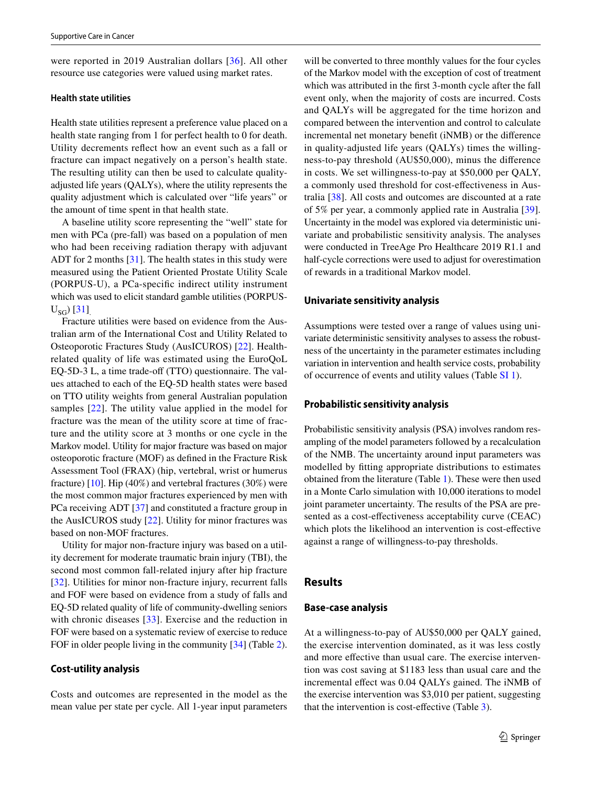were reported in 2019 Australian dollars [[36](#page-9-28)]. All other resource use categories were valued using market rates.

## **Health state utilities**

Health state utilities represent a preference value placed on a health state ranging from 1 for perfect health to 0 for death. Utility decrements refect how an event such as a fall or fracture can impact negatively on a person's health state. The resulting utility can then be used to calculate qualityadjusted life years (QALYs), where the utility represents the quality adjustment which is calculated over "life years" or the amount of time spent in that health state.

A baseline utility score representing the "well" state for men with PCa (pre-fall) was based on a population of men who had been receiving radiation therapy with adjuvant ADT for 2 months [\[31\]](#page-9-23). The health states in this study were measured using the Patient Oriented Prostate Utility Scale (PORPUS-U), a PCa-specifc indirect utility instrument which was used to elicit standard gamble utilities (PORPUS- $U_{SG}$ ) [\[31\]](#page-9-23).

Fracture utilities were based on evidence from the Australian arm of the International Cost and Utility Related to Osteoporotic Fractures Study (AusICUROS) [[22\]](#page-9-14). Healthrelated quality of life was estimated using the EuroQoL EQ-5D-3 L, a time trade-off (TTO) questionnaire. The values attached to each of the EQ-5D health states were based on TTO utility weights from general Australian population samples [[22](#page-9-14)]. The utility value applied in the model for fracture was the mean of the utility score at time of fracture and the utility score at 3 months or one cycle in the Markov model. Utility for major fracture was based on major osteoporotic fracture (MOF) as defned in the Fracture Risk Assessment Tool (FRAX) (hip, vertebral, wrist or humerus fracture)  $[10]$  $[10]$ . Hip (40%) and vertebral fractures (30%) were the most common major fractures experienced by men with PCa receiving ADT [\[37](#page-9-29)] and constituted a fracture group in the AusICUROS study [[22\]](#page-9-14). Utility for minor fractures was based on non-MOF fractures.

Utility for major non-fracture injury was based on a utility decrement for moderate traumatic brain injury (TBI), the second most common fall-related injury after hip fracture [\[32\]](#page-9-24). Utilities for minor non-fracture injury, recurrent falls and FOF were based on evidence from a study of falls and EQ-5D related quality of life of community-dwelling seniors with chronic diseases [[33](#page-9-25)]. Exercise and the reduction in FOF were based on a systematic review of exercise to reduce FOF in older people living in the community [[34\]](#page-9-26) (Table [2](#page-4-0)).

## **Cost‑utility analysis**

Costs and outcomes are represented in the model as the mean value per state per cycle. All 1-year input parameters will be converted to three monthly values for the four cycles of the Markov model with the exception of cost of treatment which was attributed in the frst 3-month cycle after the fall event only, when the majority of costs are incurred. Costs and QALYs will be aggregated for the time horizon and compared between the intervention and control to calculate incremental net monetary beneft (iNMB) or the diference in quality-adjusted life years (QALYs) times the willingness-to-pay threshold (AU\$50,000), minus the diference in costs. We set willingness-to-pay at \$50,000 per QALY, a commonly used threshold for cost-efectiveness in Australia [\[38](#page-9-30)]. All costs and outcomes are discounted at a rate of 5% per year, a commonly applied rate in Australia [\[39](#page-9-31)]. Uncertainty in the model was explored via deterministic univariate and probabilistic sensitivity analysis. The analyses were conducted in TreeAge Pro Healthcare 2019 R1.1 and half-cycle corrections were used to adjust for overestimation of rewards in a traditional Markov model.

#### **Univariate sensitivity analysis**

Assumptions were tested over a range of values using univariate deterministic sensitivity analyses to assess the robustness of the uncertainty in the parameter estimates including variation in intervention and health service costs, probability of occurrence of events and utility values (Table SI 1).

#### **Probabilistic sensitivity analysis**

Probabilistic sensitivity analysis (PSA) involves random resampling of the model parameters followed by a recalculation of the NMB. The uncertainty around input parameters was modelled by ftting appropriate distributions to estimates obtained from the literature (Table [1\)](#page-3-1). These were then used in a Monte Carlo simulation with 10,000 iterations to model joint parameter uncertainty. The results of the PSA are presented as a cost-efectiveness acceptability curve (CEAC) which plots the likelihood an intervention is cost-efective against a range of willingness-to-pay thresholds.

## **Results**

#### **Base‑case analysis**

At a willingness-to-pay of AU\$50,000 per QALY gained, the exercise intervention dominated, as it was less costly and more efective than usual care. The exercise intervention was cost saving at \$1183 less than usual care and the incremental efect was 0.04 QALYs gained. The iNMB of the exercise intervention was \$3,010 per patient, suggesting that the intervention is cost-efective (Table [3](#page-6-0)).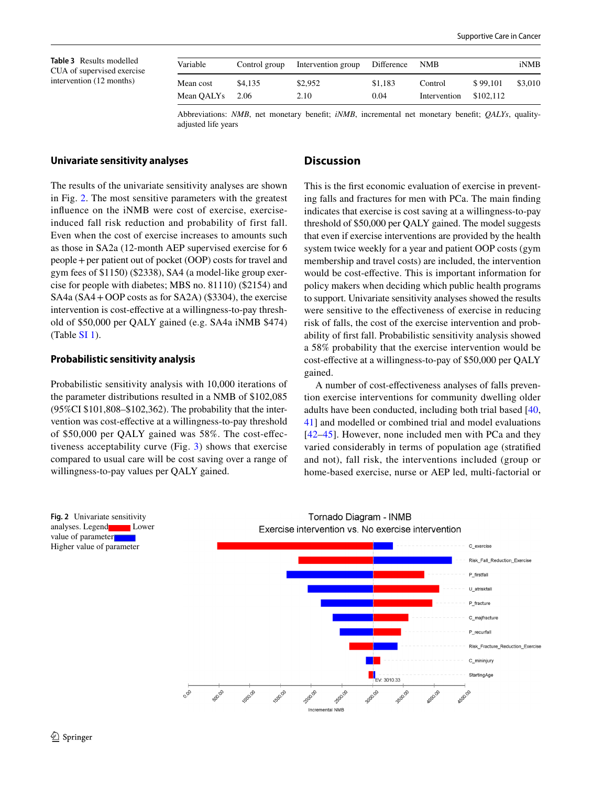<span id="page-6-0"></span>**Table 3** Results modelled CUA of supervised exercise intervention (12 months)

| Variable   | Control group | Intervention group | Difference | <b>NMB</b>   |           | iNMB    |
|------------|---------------|--------------------|------------|--------------|-----------|---------|
| Mean cost  | \$4.135       | \$2,952            | \$1,183    | Control      | \$99.101  | \$3,010 |
| Mean OALYs | 2.06          | 2.10               | 0.04       | Intervention | \$102.112 |         |

Abbreviations: *NMB*, net monetary beneft; *iNMB*, incremental net monetary beneft; *QALYs*, qualityadjusted life years

#### **Univariate sensitivity analyses**

The results of the univariate sensitivity analyses are shown in Fig. [2](#page-6-1). The most sensitive parameters with the greatest infuence on the iNMB were cost of exercise, exerciseinduced fall risk reduction and probability of first fall. Even when the cost of exercise increases to amounts such as those in SA2a (12-month AEP supervised exercise for 6 people+per patient out of pocket (OOP) costs for travel and gym fees of \$1150) (\$2338), SA4 (a model-like group exercise for people with diabetes; MBS no. 81110) (\$2154) and SA4a (SA4+OOP costs as for SA2A) (\$3304), the exercise intervention is cost-efective at a willingness-to-pay threshold of \$50,000 per QALY gained (e.g. SA4a iNMB \$474) (Table SI 1).

#### **Probabilistic sensitivity analysis**

Probabilistic sensitivity analysis with 10,000 iterations of the parameter distributions resulted in a NMB of \$102,085 (95%CI \$101,808–\$102,362). The probability that the intervention was cost-efective at a willingness-to-pay threshold of \$50,000 per QALY gained was 58%. The cost-efectiveness acceptability curve (Fig. [3](#page-7-0)) shows that exercise compared to usual care will be cost saving over a range of willingness-to-pay values per QALY gained.

## **Discussion**

This is the frst economic evaluation of exercise in preventing falls and fractures for men with PCa. The main fnding indicates that exercise is cost saving at a willingness-to-pay threshold of \$50,000 per QALY gained. The model suggests that even if exercise interventions are provided by the health system twice weekly for a year and patient OOP costs (gym membership and travel costs) are included, the intervention would be cost-efective. This is important information for policy makers when deciding which public health programs to support. Univariate sensitivity analyses showed the results were sensitive to the efectiveness of exercise in reducing risk of falls, the cost of the exercise intervention and probability of frst fall. Probabilistic sensitivity analysis showed a 58% probability that the exercise intervention would be cost-efective at a willingness-to-pay of \$50,000 per QALY gained.

A number of cost-efectiveness analyses of falls prevention exercise interventions for community dwelling older adults have been conducted, including both trial based [[40,](#page-9-32) [41](#page-10-0)] and modelled or combined trial and model evaluations [[42–](#page-10-1)[45](#page-10-2)]. However, none included men with PCa and they varied considerably in terms of population age (stratifed and not), fall risk, the interventions included (group or home-based exercise, nurse or AEP led, multi-factorial or

<span id="page-6-1"></span>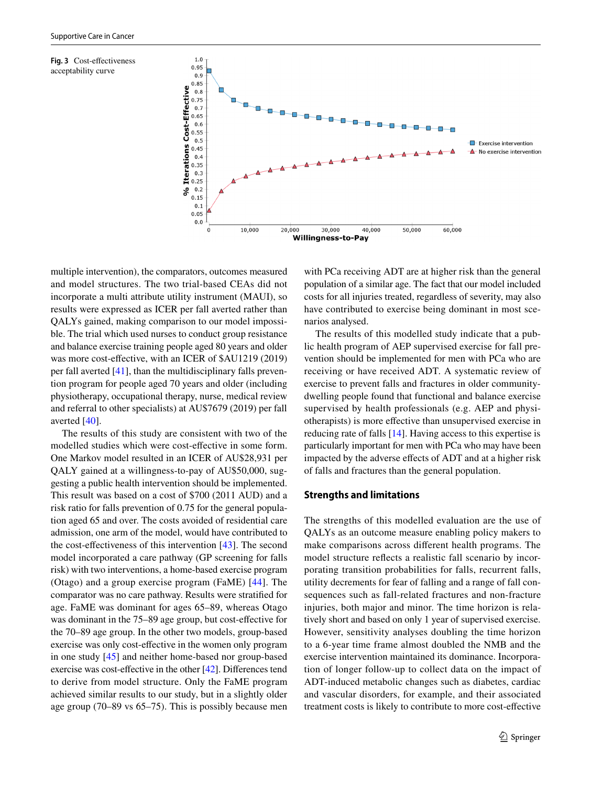<span id="page-7-0"></span>



multiple intervention), the comparators, outcomes measured and model structures. The two trial-based CEAs did not incorporate a multi attribute utility instrument (MAUI), so results were expressed as ICER per fall averted rather than QALYs gained, making comparison to our model impossible. The trial which used nurses to conduct group resistance and balance exercise training people aged 80 years and older was more cost-efective, with an ICER of \$AU1219 (2019) per fall averted [\[41](#page-10-0)], than the multidisciplinary falls prevention program for people aged 70 years and older (including physiotherapy, occupational therapy, nurse, medical review and referral to other specialists) at AU\$7679 (2019) per fall averted [\[40](#page-9-32)].

The results of this study are consistent with two of the modelled studies which were cost-efective in some form. One Markov model resulted in an ICER of AU\$28,931 per QALY gained at a willingness-to-pay of AU\$50,000, suggesting a public health intervention should be implemented. This result was based on a cost of \$700 (2011 AUD) and a risk ratio for falls prevention of 0.75 for the general population aged 65 and over. The costs avoided of residential care admission, one arm of the model, would have contributed to the cost-efectiveness of this intervention [[43](#page-10-3)]. The second model incorporated a care pathway (GP screening for falls risk) with two interventions, a home-based exercise program (Otago) and a group exercise program (FaME) [[44\]](#page-10-4). The comparator was no care pathway. Results were stratifed for age. FaME was dominant for ages 65–89, whereas Otago was dominant in the 75–89 age group, but cost-effective for the 70–89 age group. In the other two models, group-based exercise was only cost-efective in the women only program in one study [[45](#page-10-2)] and neither home-based nor group-based exercise was cost-efective in the other [[42\]](#page-10-1). Diferences tend to derive from model structure. Only the FaME program achieved similar results to our study, but in a slightly older age group (70–89 vs 65–75). This is possibly because men

with PCa receiving ADT are at higher risk than the general population of a similar age. The fact that our model included costs for all injuries treated, regardless of severity, may also have contributed to exercise being dominant in most scenarios analysed.

The results of this modelled study indicate that a public health program of AEP supervised exercise for fall prevention should be implemented for men with PCa who are receiving or have received ADT. A systematic review of exercise to prevent falls and fractures in older communitydwelling people found that functional and balance exercise supervised by health professionals (e.g. AEP and physiotherapists) is more efective than unsupervised exercise in reducing rate of falls [\[14](#page-9-6)]. Having access to this expertise is particularly important for men with PCa who may have been impacted by the adverse efects of ADT and at a higher risk of falls and fractures than the general population.

#### **Strengths and limitations**

The strengths of this modelled evaluation are the use of QALYs as an outcome measure enabling policy makers to make comparisons across diferent health programs. The model structure refects a realistic fall scenario by incorporating transition probabilities for falls, recurrent falls, utility decrements for fear of falling and a range of fall consequences such as fall-related fractures and non-fracture injuries, both major and minor. The time horizon is relatively short and based on only 1 year of supervised exercise. However, sensitivity analyses doubling the time horizon to a 6-year time frame almost doubled the NMB and the exercise intervention maintained its dominance. Incorporation of longer follow-up to collect data on the impact of ADT-induced metabolic changes such as diabetes, cardiac and vascular disorders, for example, and their associated treatment costs is likely to contribute to more cost-efective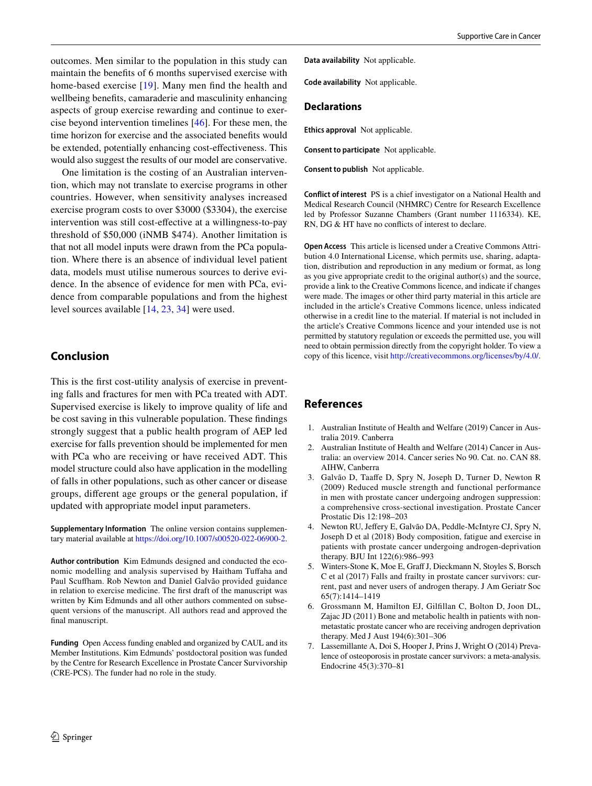outcomes. Men similar to the population in this study can maintain the benefts of 6 months supervised exercise with home-based exercise [[19](#page-9-11)]. Many men fnd the health and wellbeing benefts, camaraderie and masculinity enhancing aspects of group exercise rewarding and continue to exercise beyond intervention timelines [[46\]](#page-10-5). For these men, the time horizon for exercise and the associated benefts would be extended, potentially enhancing cost-efectiveness. This would also suggest the results of our model are conservative.

One limitation is the costing of an Australian intervention, which may not translate to exercise programs in other countries. However, when sensitivity analyses increased exercise program costs to over \$3000 (\$3304), the exercise intervention was still cost-efective at a willingness-to-pay threshold of \$50,000 (iNMB \$474). Another limitation is that not all model inputs were drawn from the PCa population. Where there is an absence of individual level patient data, models must utilise numerous sources to derive evidence. In the absence of evidence for men with PCa, evidence from comparable populations and from the highest level sources available [\[14](#page-9-6), [23](#page-9-15), [34\]](#page-9-26) were used.

# **Conclusion**

This is the frst cost-utility analysis of exercise in preventing falls and fractures for men with PCa treated with ADT. Supervised exercise is likely to improve quality of life and be cost saving in this vulnerable population. These fndings strongly suggest that a public health program of AEP led exercise for falls prevention should be implemented for men with PCa who are receiving or have received ADT. This model structure could also have application in the modelling of falls in other populations, such as other cancer or disease groups, diferent age groups or the general population, if updated with appropriate model input parameters.

**Supplementary Information** The online version contains supplementary material available at<https://doi.org/10.1007/s00520-022-06900-2>.

**Author contribution** Kim Edmunds designed and conducted the economic modelling and analysis supervised by Haitham Tuffaha and Paul Scufham. Rob Newton and Daniel Galvão provided guidance in relation to exercise medicine. The frst draft of the manuscript was written by Kim Edmunds and all other authors commented on subsequent versions of the manuscript. All authors read and approved the final manuscript.

**Funding** Open Access funding enabled and organized by CAUL and its Member Institutions. Kim Edmunds' postdoctoral position was funded by the Centre for Research Excellence in Prostate Cancer Survivorship (CRE-PCS). The funder had no role in the study.

**Code availability** Not applicable.

#### **Declarations**

**Ethics approval** Not applicable.

**Consent to participate** Not applicable.

**Consent to publish** Not applicable.

**Conflict of interest** PS is a chief investigator on a National Health and Medical Research Council (NHMRC) Centre for Research Excellence led by Professor Suzanne Chambers (Grant number 1116334). KE, RN, DG & HT have no conficts of interest to declare.

**Open Access** This article is licensed under a Creative Commons Attribution 4.0 International License, which permits use, sharing, adaptation, distribution and reproduction in any medium or format, as long as you give appropriate credit to the original author(s) and the source, provide a link to the Creative Commons licence, and indicate if changes were made. The images or other third party material in this article are included in the article's Creative Commons licence, unless indicated otherwise in a credit line to the material. If material is not included in the article's Creative Commons licence and your intended use is not permitted by statutory regulation or exceeds the permitted use, you will need to obtain permission directly from the copyright holder. To view a copy of this licence, visit<http://creativecommons.org/licenses/by/4.0/>.

# **References**

- <span id="page-8-0"></span>1. Australian Institute of Health and Welfare (2019) Cancer in Australia 2019. Canberra
- <span id="page-8-1"></span>2. Australian Institute of Health and Welfare (2014) Cancer in Australia: an overview 2014. Cancer series No 90. Cat. no. CAN 88. AIHW, Canberra
- <span id="page-8-2"></span>3. Galvão D, Taafe D, Spry N, Joseph D, Turner D, Newton R (2009) Reduced muscle strength and functional performance in men with prostate cancer undergoing androgen suppression: a comprehensive cross-sectional investigation. Prostate Cancer Prostatic Dis 12:198–203
- <span id="page-8-3"></span>4. Newton RU, Jefery E, Galvão DA, Peddle-McIntyre CJ, Spry N, Joseph D et al (2018) Body composition, fatigue and exercise in patients with prostate cancer undergoing androgen-deprivation therapy. BJU Int 122(6):986–993
- <span id="page-8-4"></span>5. Winters-Stone K, Moe E, Graff J, Dieckmann N, Stoyles S, Borsch C et al (2017) Falls and frailty in prostate cancer survivors: current, past and never users of androgen therapy. J Am Geriatr Soc 65(7):1414–1419
- <span id="page-8-5"></span>6. Grossmann M, Hamilton EJ, Gilfllan C, Bolton D, Joon DL, Zajac JD (2011) Bone and metabolic health in patients with nonmetastatic prostate cancer who are receiving androgen deprivation therapy. Med J Aust 194(6):301–306
- <span id="page-8-6"></span>Lassemillante A, Doi S, Hooper J, Prins J, Wright O (2014) Prevalence of osteoporosis in prostate cancer survivors: a meta-analysis. Endocrine 45(3):370–81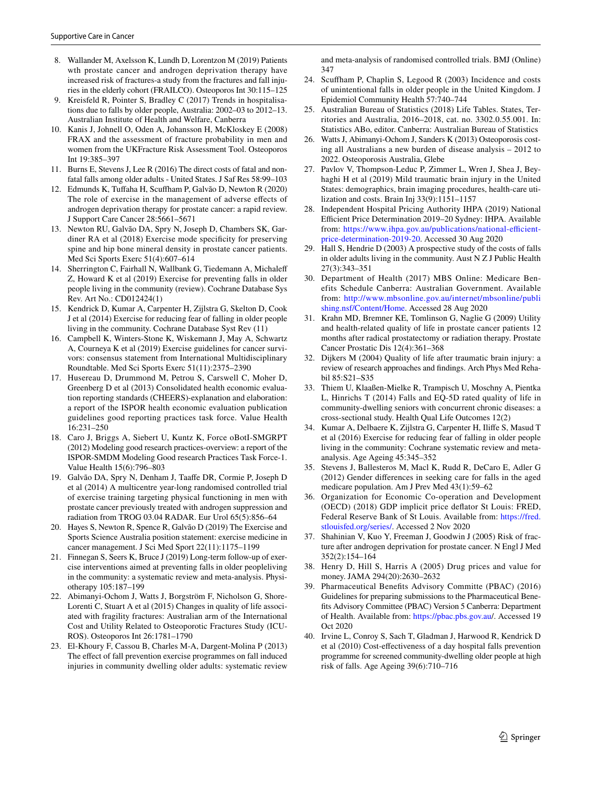- <span id="page-9-0"></span>8. Wallander M, Axelsson K, Lundh D, Lorentzon M (2019) Patients wth prostate cancer and androgen deprivation therapy have increased risk of fractures-a study from the fractures and fall injuries in the elderly cohort (FRAILCO). Osteoporos Int 30:115–125
- <span id="page-9-1"></span>9. Kreisfeld R, Pointer S, Bradley C (2017) Trends in hospitalisations due to falls by older people, Australia: 2002–03 to 2012–13. Australian Institute of Health and Welfare, Canberra
- <span id="page-9-2"></span>10. Kanis J, Johnell O, Oden A, Johansson H, McKloskey E (2008) FRAX and the assessment of fracture probability in men and women from the UKFracture Risk Assessment Tool. Osteoporos Int 19:385–397
- <span id="page-9-3"></span>11. Burns E, Stevens J, Lee R (2016) The direct costs of fatal and nonfatal falls among older adults - United States. J Saf Res 58:99–103
- <span id="page-9-4"></span>12. Edmunds K, Tufaha H, Scufham P, Galvão D, Newton R (2020) The role of exercise in the management of adverse efects of androgen deprivation therapy for prostate cancer: a rapid review. J Support Care Cancer 28:5661–5671
- <span id="page-9-5"></span>13. Newton RU, Galvão DA, Spry N, Joseph D, Chambers SK, Gardiner RA et al (2018) Exercise mode specifcity for preserving spine and hip bone mineral density in prostate cancer patients. Med Sci Sports Exerc 51(4):607–614
- <span id="page-9-6"></span>14. Sherrington C, Fairhall N, Wallbank G, Tiedemann A, Michalef Z, Howard K et al (2019) Exercise for preventing falls in older people living in the community (review). Cochrane Database Sys Rev. Art No.: CD012424(1)
- <span id="page-9-7"></span>15. Kendrick D, Kumar A, Carpenter H, Zijlstra G, Skelton D, Cook J et al (2014) Exercise for reducing fear of falling in older people living in the community. Cochrane Database Syst Rev (11)
- <span id="page-9-8"></span>16. Campbell K, Winters-Stone K, Wiskemann J, May A, Schwartz A, Courneya K et al (2019) Exercise guidelines for cancer survivors: consensus statement from International Multidisciplinary Roundtable. Med Sci Sports Exerc 51(11):2375–2390
- <span id="page-9-9"></span>17. Husereau D, Drummond M, Petrou S, Carswell C, Moher D, Greenberg D et al (2013) Consolidated health economic evaluation reporting standards (CHEERS)-explanation and elaboration: a report of the ISPOR health economic evaluation publication guidelines good reporting practices task force. Value Health 16:231–250
- <span id="page-9-10"></span>18. Caro J, Briggs A, Siebert U, Kuntz K, Force oBotI-SMGRPT (2012) Modeling good research practices-overview: a report of the ISPOR-SMDM Modeling Good research Practices Task Force-1. Value Health 15(6):796–803
- <span id="page-9-11"></span>19. Galvão DA, Spry N, Denham J, Taafe DR, Cormie P, Joseph D et al (2014) A multicentre year-long randomised controlled trial of exercise training targeting physical functioning in men with prostate cancer previously treated with androgen suppression and radiation from TROG 03.04 RADAR. Eur Urol 65(5):856–64
- <span id="page-9-12"></span>20. Hayes S, Newton R, Spence R, Galvão D (2019) The Exercise and Sports Science Australia position statement: exercise medicine in cancer management. J Sci Med Sport 22(11):1175–1199
- <span id="page-9-13"></span>21. Finnegan S, Seers K, Bruce J (2019) Long-term follow-up of exercise interventions aimed at preventing falls in older peopleliving in the community: a systematic review and meta-analysis. Physiotherapy 105:187–199
- <span id="page-9-14"></span>22. Abimanyi-Ochom J, Watts J, Borgström F, Nicholson G, Shore-Lorenti C, Stuart A et al (2015) Changes in quality of life associated with fragility fractures: Australian arm of the International Cost and Utility Related to Osteoporotic Fractures Study (ICU-ROS). Osteoporos Int 26:1781–1790
- <span id="page-9-15"></span>23. El-Khoury F, Cassou B, Charles M-A, Dargent-Molina P (2013) The effect of fall prevention exercise programmes on fall induced injuries in community dwelling older adults: systematic review

and meta-analysis of randomised controlled trials. BMJ (Online) 347

- <span id="page-9-16"></span>24. Scufham P, Chaplin S, Legood R (2003) Incidence and costs of unintentional falls in older people in the United Kingdom. J Epidemiol Community Health 57:740–744
- <span id="page-9-17"></span>25. Australian Bureau of Statistics (2018) Life Tables. States, Territories and Australia, 2016–2018, cat. no. 3302.0.55.001. In: Statistics ABo, editor. Canberra: Australian Bureau of Statistics
- <span id="page-9-18"></span>26. Watts J, Abimanyi-Ochom J, Sanders K (2013) Osteoporosis costing all Australians a new burden of disease analysis – 2012 to 2022. Osteoporosis Australia, Glebe
- <span id="page-9-19"></span>27. Pavlov V, Thompson-Leduc P, Zimmer L, Wren J, Shea J, Beyhaghi H et al (2019) Mild traumatic brain injury in the United States: demographics, brain imaging procedures, health-care utilization and costs. Brain Inj 33(9):1151–1157
- <span id="page-9-21"></span>28. Independent Hospital Pricing Authority IHPA (2019) National Efficient Price Determination 2019–20 Sydney: IHPA. Available from: https://www.ihpa.gov.au/publications/national-efficient[price-determination-2019-20.](https://www.ihpa.gov.au/publications/national-efficient-price-determination-2019-20) Accessed 30 Aug 2020
- <span id="page-9-20"></span>29. Hall S, Hendrie D (2003) A prospective study of the costs of falls in older adults living in the community. Aust N Z J Public Health 27(3):343–351
- <span id="page-9-22"></span>30. Department of Health (2017) MBS Online: Medicare Benefits Schedule Canberra: Australian Government. Available from: [http://www.mbsonline.gov.au/internet/mbsonline/publi](http://www.mbsonline.gov.au/internet/mbsonline/publishing.nsf/Content/Home) [shing.nsf/Content/Home](http://www.mbsonline.gov.au/internet/mbsonline/publishing.nsf/Content/Home). Accessed 28 Aug 2020
- <span id="page-9-23"></span>31. Krahn MD, Bremner KE, Tomlinson G, Naglie G (2009) Utility and health-related quality of life in prostate cancer patients 12 months after radical prostatectomy or radiation therapy. Prostate Cancer Prostatic Dis 12(4):361–368
- <span id="page-9-24"></span>32. Dijkers M (2004) Quality of life after traumatic brain injury: a review of research approaches and fndings. Arch Phys Med Rehabil 85:S21–S35
- <span id="page-9-25"></span>33. Thiem U, Klaaßen-Mielke R, Trampisch U, Moschny A, Pientka L, Hinrichs T (2014) Falls and EQ-5D rated quality of life in community-dwelling seniors with concurrent chronic diseases: a cross-sectional study. Health Qual Life Outcomes 12(2)
- <span id="page-9-26"></span>34. Kumar A, Delbaere K, Zijlstra G, Carpenter H, Ilife S, Masud T et al (2016) Exercise for reducing fear of falling in older people living in the community: Cochrane systematic review and metaanalysis. Age Ageing 45:345–352
- <span id="page-9-27"></span>35. Stevens J, Ballesteros M, Macl K, Rudd R, DeCaro E, Adler G (2012) Gender diferences in seeking care for falls in the aged medicare population. Am J Prev Med 43(1):59–62
- <span id="page-9-28"></span>36. Organization for Economic Co-operation and Development (OECD) (2018) GDP implicit price defator St Louis: FRED, Federal Reserve Bank of St Louis. Available from: [https://fred.](https://fred.stlouisfed.org/series/) [stlouisfed.org/series/](https://fred.stlouisfed.org/series/). Accessed 2 Nov 2020
- <span id="page-9-29"></span>37. Shahinian V, Kuo Y, Freeman J, Goodwin J (2005) Risk of fracture after androgen deprivation for prostate cancer. N Engl J Med 352(2):154–164
- <span id="page-9-30"></span>38. Henry D, Hill S, Harris A (2005) Drug prices and value for money. JAMA 294(20):2630–2632
- <span id="page-9-31"></span>39. Pharmaceutical Benefts Advisory Committe (PBAC) (2016) Guidelines for preparing submissions to the Pharmaceutical Benefts Advisory Committee (PBAC) Version 5 Canberra: Department of Health. Available from: [https://pbac.pbs.gov.au/](https://pbac.pbs.gov.au). Accessed 19 Oct 2020
- <span id="page-9-32"></span>40. Irvine L, Conroy S, Sach T, Gladman J, Harwood R, Kendrick D et al (2010) Cost-efectiveness of a day hospital falls prevention programme for screened community-dwelling older people at high risk of falls. Age Ageing 39(6):710–716